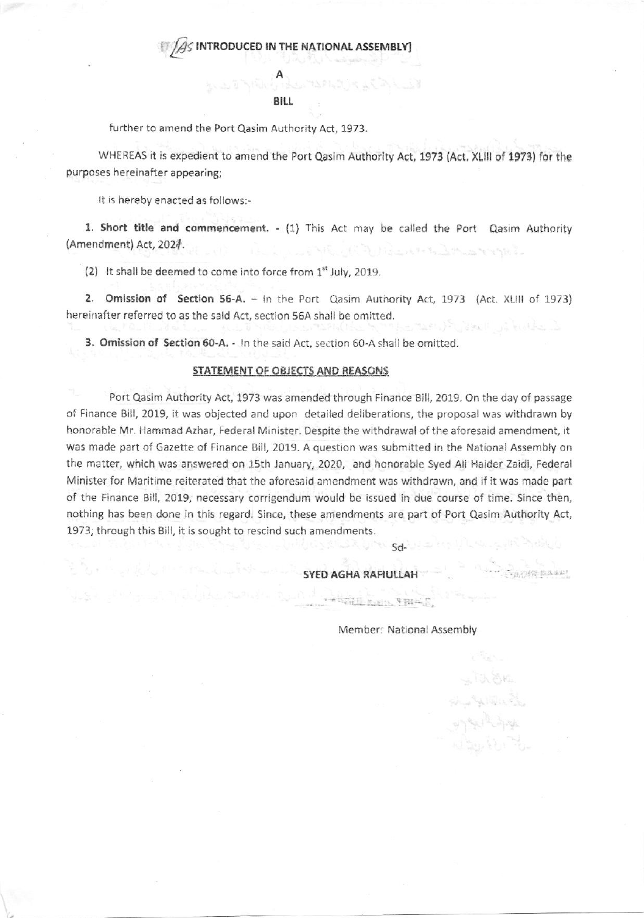## **BILL**

further to amend the Port Qasim Authority Act, 1973.

WHEREAS it is expedient to amend the Port Qasim Authority Act, 1973 (Act, XLIII of 1973) for the purposes hereinafter appearing;

It is hereby enacted as follows:-

1. Short title and commencement. - (1) This Act may be called the Port Qasim Authority (Amendment) Act, 2021.

(2) It shall be deemed to come into force from 1<sup>st</sup> July, 2019.

2. Omission of Section 56-A. - In the Port Qasim Authority Act, 1973 (Act. XLIII of 1973) hereinafter referred to as the said Act, section 56A shall be omitted. dikelua langsa

3. Omission of Section 60-A. - In the said Act, section 60-A shall be omitted.

## STATEMENT OF OBJECTS AND REASONS

Port Qasim Authority Act, 1973 was amended through Finance Bill, 2019. On the day of passage of Finance Bill, 2019, it was objected and upon detailed deliberations, the proposal was withdrawn by honorable Mr. Hammad Azhar, Federal Minister. Despite the withdrawal of the aforesaid amendment, it was made part of Gazette of Finance Bill, 2019. A question was submitted in the National Assembly on the matter, which was answered on 15th January, 2020, and honorable Syed Ali Haider Zaidi, Federal Minister for Maritime reiterated that the aforesaid amendment was withdrawn, and if it was made part of the Finance Bill, 2019, necessary corrigendum would be issued in due course of time. Since then, nothing has been done in this regard. Since, these amendments are part of Port Qasim Authority Act, 1973; through this Bill, it is sought to rescind such amendments.

SYED AGHA RAFIULLAH

 $\label{eq:3} \mathcal{L}(\mathcal{L})=\mathcal{L}_{\mathcal{L}}(\mathcal{L})\mathcal{L}_{\mathcal{L}}\mathcal{L}_{\mathcal{L}}\mathcal{L}_{\mathcal{L}}\mathcal{L}_{\mathcal{L}}\mathcal{L}_{\mathcal{L}}\mathcal{L}_{\mathcal{L}}\mathcal{L}_{\mathcal{L}}\mathcal{L}_{\mathcal{L}}\mathcal{L}_{\mathcal{L}}\mathcal{L}_{\mathcal{L}}\mathcal{L}_{\mathcal{L}}\mathcal{L}_{\mathcal{L}}\mathcal{L}_{\mathcal{L}}\mathcal{L}_{\mathcal{L}}\mathcal{L}_{\mathcal{L}}\mathcal$ 

Member: National Assembly

**UPA Sd-** 14